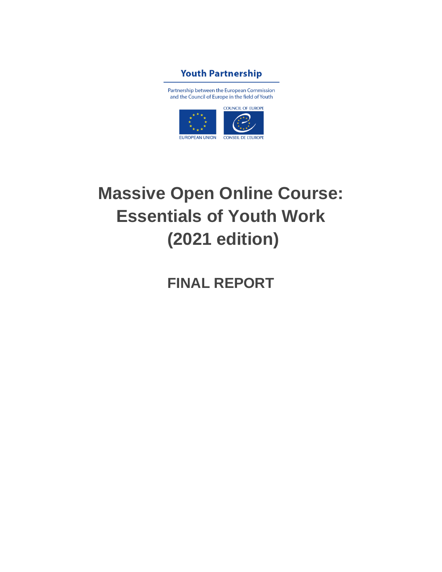

Partnership between the European Commission and the Council of Europe in the field of Youth



# **Massive Open Online Course: Essentials of Youth Work (2021 edition)**

## **FINAL REPORT**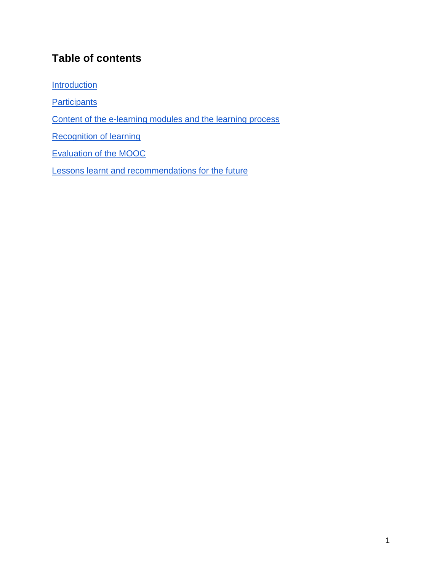### **Table of contents**

**[Introduction](#page-2-0)** 

**[Participants](#page-3-0)** 

[Content of the e-learning modules and the learning process](#page-5-0)

[Recognition of learning](#page-9-0)

[Evaluation of the MOOC](#page-10-0)

[Lessons learnt and recommendations for the future](#page-14-0)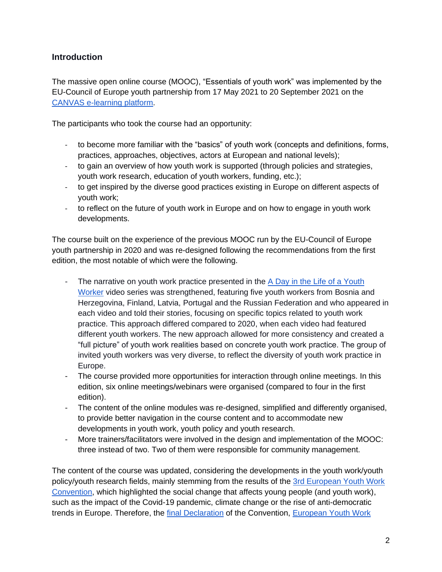#### <span id="page-2-0"></span>**Introduction**

The massive open online course (MOOC), "Essentials of youth work" was implemented by the EU-Council of Europe youth partnership from 17 May 2021 to 20 September 2021 on the [CANVAS e-learning platform.](https://canvas.instructure.com/courses/2717166)

The participants who took the course had an opportunity:

- to become more familiar with the "basics" of youth work (concepts and definitions, forms, practices, approaches, objectives, actors at European and national levels);
- to gain an overview of how youth work is supported (through policies and strategies, youth work research, education of youth workers, funding, etc.);
- to get inspired by the diverse good practices existing in Europe on different aspects of youth work;
- to reflect on the future of youth work in Europe and on how to engage in youth work developments.

The course built on the experience of the previous MOOC run by the EU-Council of Europe youth partnership in 2020 and was re-designed following the recommendations from the first edition, the most notable of which were the following.

- The narrative on youth work practice presented in the A Day in the Life of a Youth [Worker](https://youtube.com/playlist?list=PLKNmrlD6g-JsJ6Nm885rbjXcFFTAj2_a6) video series was strengthened, featuring five youth workers from Bosnia and Herzegovina, Finland, Latvia, Portugal and the Russian Federation and who appeared in each video and told their stories, focusing on specific topics related to youth work practice. This approach differed compared to 2020, when each video had featured different youth workers. The new approach allowed for more consistency and created a "full picture" of youth work realities based on concrete youth work practice. The group of invited youth workers was very diverse, to reflect the diversity of youth work practice in Europe.
- The course provided more opportunities for interaction through online meetings. In this edition, six online meetings/webinars were organised (compared to four in the first edition).
- The content of the online modules was re-designed, simplified and differently organised, to provide better navigation in the course content and to accommodate new developments in youth work, youth policy and youth research.
- More trainers/facilitators were involved in the design and implementation of the MOOC: three instead of two. Two of them were responsible for community management.

The content of the course was updated, considering the developments in the youth work/youth policy/youth research fields, mainly stemming from the results of the [3rd European Youth Work](https://www.eywc2020.eu/en/convention/)  [Convention,](https://www.eywc2020.eu/en/convention/) which highlighted the social change that affects young people (and youth work), such as the impact of the Covid-19 pandemic, climate change or the rise of anti-democratic trends in Europe. Therefore, the [final Declaration](https://www.eywc2020.eu/en/convention/final-declaration/) of the Convention, [European Youth Work](https://www.eywc2020.eu/en/agenda/)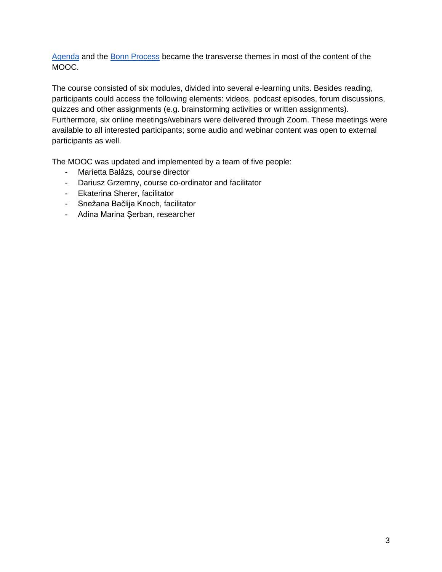[Agenda](https://www.eywc2020.eu/en/agenda/) and the [Bonn Process](https://www.eywc2020.eu/en/agenda/bonn-process/) became the transverse themes in most of the content of the MOOC.

The course consisted of six modules, divided into several e-learning units. Besides reading, participants could access the following elements: videos, podcast episodes, forum discussions, quizzes and other assignments (e.g. brainstorming activities or written assignments). Furthermore, six online meetings/webinars were delivered through Zoom. These meetings were available to all interested participants; some audio and webinar content was open to external participants as well.

The MOOC was updated and implemented by a team of five people:

- Marietta Balázs, course director
- Dariusz Grzemny, course co-ordinator and facilitator
- Ekaterina Sherer, facilitator
- Snežana Bačlija Knoch, facilitator
- <span id="page-3-0"></span>- Adina Marina Şerban, researcher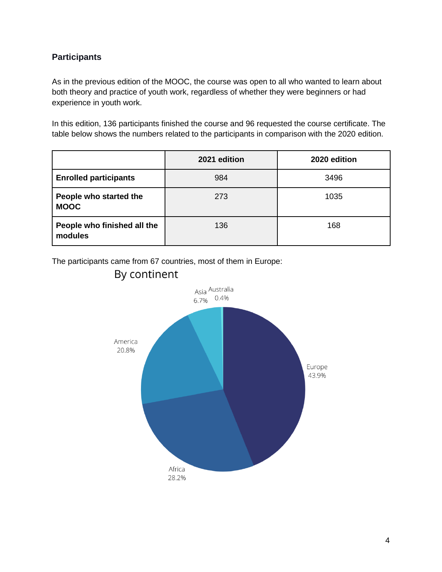#### **Participants**

As in the previous edition of the MOOC, the course was open to all who wanted to learn about both theory and practice of youth work, regardless of whether they were beginners or had experience in youth work.

In this edition, 136 participants finished the course and 96 requested the course certificate. The table below shows the numbers related to the participants in comparison with the 2020 edition.

|                                        | 2021 edition | 2020 edition |
|----------------------------------------|--------------|--------------|
| <b>Enrolled participants</b>           | 984          | 3496         |
| People who started the<br><b>MOOC</b>  | 273          | 1035         |
| People who finished all the<br>modules | 136          | 168          |

The participants came from 67 countries, most of them in Europe:



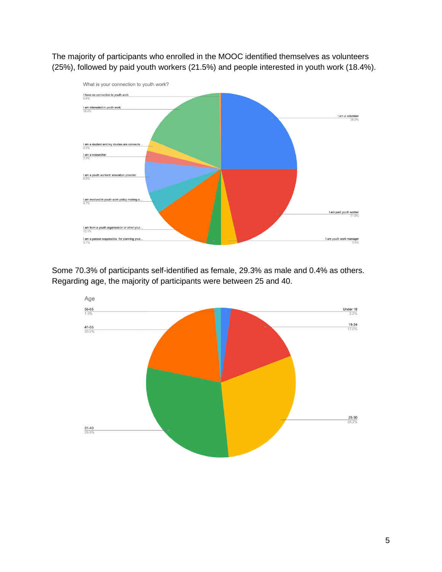The majority of participants who enrolled in the MOOC identified themselves as volunteers (25%), followed by paid youth workers (21.5%) and people interested in youth work (18.4%).



Some 70.3% of participants self-identified as female, 29.3% as male and 0.4% as others. Regarding age, the majority of participants were between 25 and 40.

<span id="page-5-0"></span>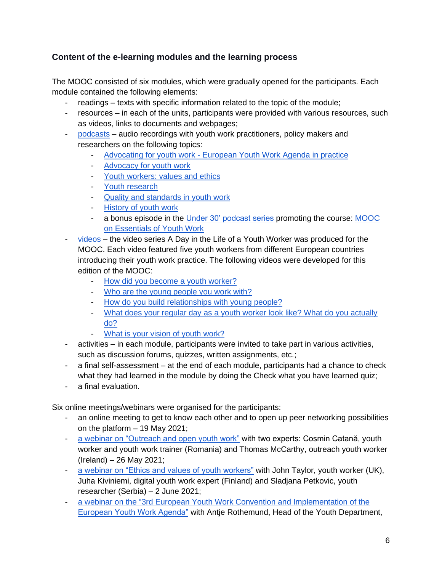#### **Content of the e-learning modules and the learning process**

The MOOC consisted of six modules, which were gradually opened for the participants. Each module contained the following elements:

- readings texts with specific information related to the topic of the module;
- resources in each of the units, participants were provided with various resources, such as videos, links to documents and webpages;
- [podcasts](https://youthworkessentials.transistor.fm/) audio recordings with youth work practitioners, policy makers and researchers on the following topics:
	- Advocating for youth work [European Youth Work Agenda in practice](https://youthworkessentials.transistor.fm/episodes/advocating-for-youth-work-european-youth-work-agenda-in-practice)
	- [Advocacy for youth work](https://youthworkessentials.transistor.fm/episodes/advocacy-for-youth-work)
	- [Youth workers: values and ethics](https://youthworkessentials.transistor.fm/episodes/youth-workers-values-and-ethics)
	- [Youth research](https://youthworkessentials.transistor.fm/episodes/youth-research)
	- [Quality and standards in youth work](https://youthworkessentials.transistor.fm/episodes/quality-and-standards-in-youth-work)
	- [History of youth work](https://youthworkessentials.transistor.fm/episodes/history-of-youth-work)
	- a bonus episode in the [Under 30' podcast series](https://pjp-eu.coe.int/en/web/youth-partnership/podcasts) promoting the course: [MOOC](https://share.transistor.fm/s/944c86b0)  [on Essentials of Youth Work](https://share.transistor.fm/s/944c86b0)
- [videos](https://youtube.com/playlist?list=PLKNmrlD6g-JsJ6Nm885rbjXcFFTAj2_a6) the video series A Day in the Life of a Youth Worker was produced for the MOOC. Each video featured five youth workers from different European countries introducing their youth work practice. The following videos were developed for this edition of the MOOC:
	- [How did you become a youth worker?](https://www.youtube.com/watch?v=iQDRc0IM4UI)
	- [Who are the young people you work with?](https://www.youtube.com/watch?v=jU1Rxp5qWDg)
	- [How do you build relationships with young people?](https://www.youtube.com/watch?v=YLNftmUt3y0)
	- [What does your regular day as a youth worker look like? What do you actually](https://www.youtube.com/watch?v=PugLzdNtpUU)  [do?](https://www.youtube.com/watch?v=PugLzdNtpUU)
	- [What is your vision of youth work?](https://www.youtube.com/watch?v=9yC-A0OXS_k)
- activities in each module, participants were invited to take part in various activities, such as discussion forums, quizzes, written assignments, etc.;
- a final self-assessment at the end of each module, participants had a chance to check what they had learned in the module by doing the Check what you have learned quiz;
- a final evaluation.

Six online meetings/webinars were organised for the participants:

- an online meeting to get to know each other and to open up peer networking possibilities on the platform – 19 May 2021;
- [a webinar on "Outreach and open youth work"](https://youtu.be/TVCgPa0zXDo) with two experts: Cosmin Catană, youth worker and youth work trainer (Romania) and Thomas McCarthy, outreach youth worker (Ireland) – 26 May 2021;
- [a webinar on "Ethics and values of youth workers"](https://youtu.be/QDnasomZFRo) with John Taylor, youth worker (UK), Juha Kiviniemi, digital youth work expert (Finland) and Sladjana Petkovic, youth researcher (Serbia) – 2 June 2021;
- [a webinar on](https://youtu.be/ps4pOPPqE7I) the "3rd European Youth Work Convention and Implementation of the [European Youth Work Agenda"](https://youtu.be/ps4pOPPqE7I) with Antje Rothemund, Head of the Youth Department,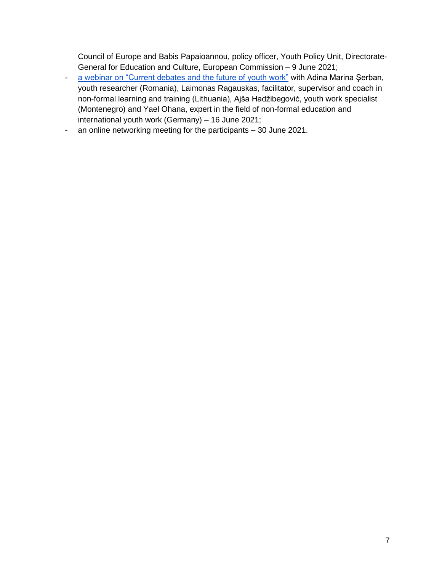Council of Europe and Babis Papaioannou, policy officer, Youth Policy Unit, Directorate-General for Education and Culture, European Commission – 9 June 2021;

- [a webinar on "Current debates and the future of youth work"](https://youtu.be/y31XVcLVA2Q) with Adina Marina Şerban, youth researcher (Romania), Laimonas Ragauskas, facilitator, supervisor and coach in non-formal learning and training (Lithuania), Ajša Hadžibegović, youth work specialist (Montenegro) and Yael Ohana, expert in the field of non-formal education and international youth work (Germany) – 16 June 2021;
- an online networking meeting for the participants 30 June 2021.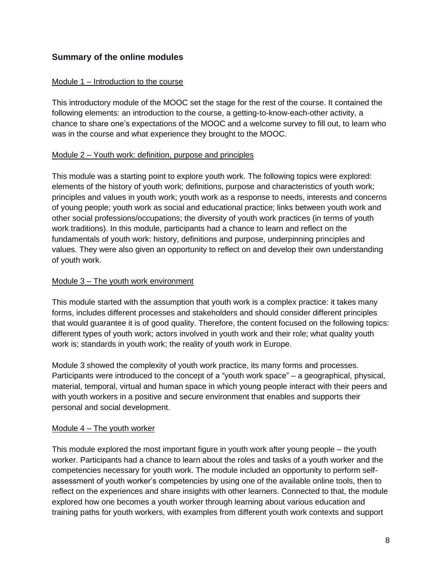#### **Summary of the online modules**

#### Module 1 – Introduction to the course

This introductory module of the MOOC set the stage for the rest of the course. It contained the following elements: an introduction to the course, a getting-to-know-each-other activity, a chance to share one's expectations of the MOOC and a welcome survey to fill out, to learn who was in the course and what experience they brought to the MOOC.

#### Module 2 – Youth work: definition, purpose and principles

This module was a starting point to explore youth work. The following topics were explored: elements of the history of youth work; definitions, purpose and characteristics of youth work; principles and values in youth work; youth work as a response to needs, interests and concerns of young people; youth work as social and educational practice; links between youth work and other social professions/occupations; the diversity of youth work practices (in terms of youth work traditions). In this module, participants had a chance to learn and reflect on the fundamentals of youth work: history, definitions and purpose, underpinning principles and values. They were also given an opportunity to reflect on and develop their own understanding of youth work.

#### Module 3 – The youth work environment

This module started with the assumption that youth work is a complex practice: it takes many forms, includes different processes and stakeholders and should consider different principles that would guarantee it is of good quality. Therefore, the content focused on the following topics: different types of youth work; actors involved in youth work and their role; what quality youth work is; standards in youth work; the reality of youth work in Europe.

Module 3 showed the complexity of youth work practice, its many forms and processes. Participants were introduced to the concept of a "youth work space" – a geographical, physical, material, temporal, virtual and human space in which young people interact with their peers and with youth workers in a positive and secure environment that enables and supports their personal and social development.

#### Module 4 – The youth worker

This module explored the most important figure in youth work after young people – the youth worker. Participants had a chance to learn about the roles and tasks of a youth worker and the competencies necessary for youth work. The module included an opportunity to perform selfassessment of youth worker's competencies by using one of the available online tools, then to reflect on the experiences and share insights with other learners. Connected to that, the module explored how one becomes a youth worker through learning about various education and training paths for youth workers, with examples from different youth work contexts and support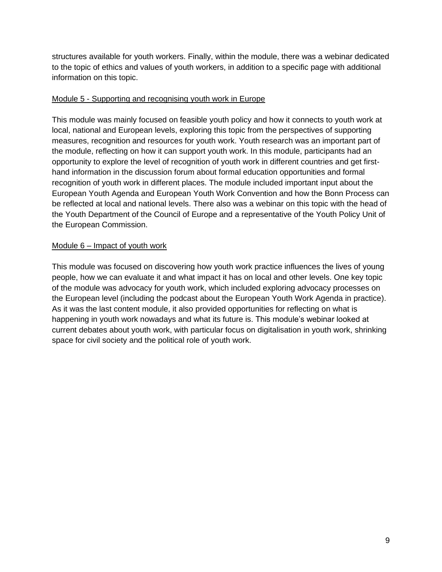structures available for youth workers. Finally, within the module, there was a webinar dedicated to the topic of ethics and values of youth workers, in addition to a specific page with additional information on this topic.

#### Module 5 - Supporting and recognising youth work in Europe

This module was mainly focused on feasible youth policy and how it connects to youth work at local, national and European levels, exploring this topic from the perspectives of supporting measures, recognition and resources for youth work. Youth research was an important part of the module, reflecting on how it can support youth work. In this module, participants had an opportunity to explore the level of recognition of youth work in different countries and get firsthand information in the discussion forum about formal education opportunities and formal recognition of youth work in different places. The module included important input about the European Youth Agenda and European Youth Work Convention and how the Bonn Process can be reflected at local and national levels. There also was a webinar on this topic with the head of the Youth Department of the Council of Europe and a representative of the Youth Policy Unit of the European Commission.

#### Module 6 – Impact of youth work

<span id="page-9-0"></span>This module was focused on discovering how youth work practice influences the lives of young people, how we can evaluate it and what impact it has on local and other levels. One key topic of the module was advocacy for youth work, which included exploring advocacy processes on the European level (including the podcast about the European Youth Work Agenda in practice). As it was the last content module, it also provided opportunities for reflecting on what is happening in youth work nowadays and what its future is. This module's webinar looked at current debates about youth work, with particular focus on digitalisation in youth work, shrinking space for civil society and the political role of youth work.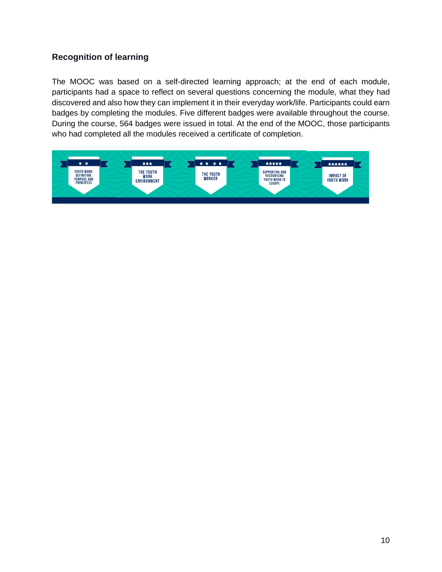#### **Recognition of learning**

The MOOC was based on a self-directed learning approach; at the end of each module, participants had a space to reflect on several questions concerning the module, what they had discovered and also how they can implement it in their everyday work/life. Participants could earn badges by completing the modules. Five different badges were available throughout the course. During the course, 564 badges were issued in total. At the end of the MOOC, those participants who had completed all the modules received a certificate of completion.

<span id="page-10-0"></span>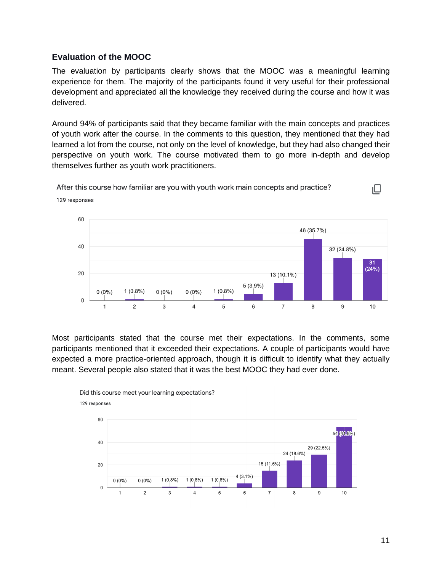#### **Evaluation of the MOOC**

The evaluation by participants clearly shows that the MOOC was a meaningful learning experience for them. The majority of the participants found it very useful for their professional development and appreciated all the knowledge they received during the course and how it was delivered.

Around 94% of participants said that they became familiar with the main concepts and practices of youth work after the course. In the comments to this question, they mentioned that they had learned a lot from the course, not only on the level of knowledge, but they had also changed their perspective on youth work. The course motivated them to go more in-depth and develop themselves further as youth work practitioners.

After this course how familiar are you with youth work main concepts and practice?



Most participants stated that the course met their expectations. In the comments, some participants mentioned that it exceeded their expectations. A couple of participants would have expected a more practice-oriented approach, though it is difficult to identify what they actually meant. Several people also stated that it was the best MOOC they had ever done.



Did this course meet your learning expectations? 129 responses

 $\Box$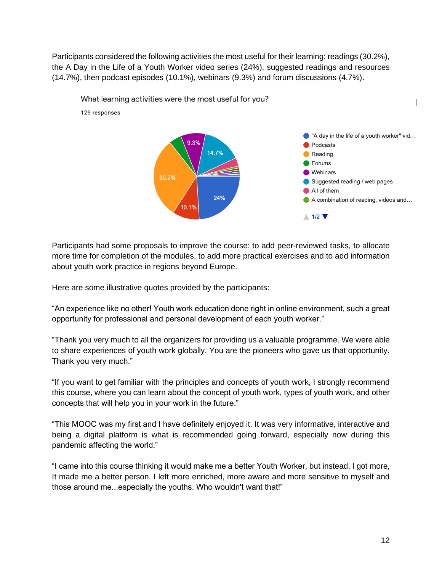Participants considered the following activities the most useful for their learning: readings (30.2%), the A Day in the Life of a Youth Worker video series (24%), suggested readings and resources (14.7%), then podcast episodes (10.1%), webinars (9.3%) and forum discussions (4.7%).



Participants had some proposals to improve the course: to add peer-reviewed tasks, to allocate more time for completion of the modules, to add more practical exercises and to add information about youth work practice in regions beyond Europe.

Here are some illustrative quotes provided by the participants:

"An experience like no other! Youth work education done right in online environment, such a great opportunity for professional and personal development of each youth worker."

"Thank you very much to all the organizers for providing us a valuable programme. We were able to share experiences of youth work globally. You are the pioneers who gave us that opportunity. Thank you very much."

"If you want to get familiar with the principles and concepts of youth work, I strongly recommend this course, where you can learn about the concept of youth work, types of youth work, and other concepts that will help you in your work in the future."

"This MOOC was my first and I have definitely enjoyed it. It was very informative, interactive and being a digital platform is what is recommended going forward, especially now during this pandemic affecting the world."

"I came into this course thinking it would make me a better Youth Worker, but instead, I got more, It made me a better person. I left more enriched, more aware and more sensitive to myself and those around me...especially the youths. Who wouldn't want that!"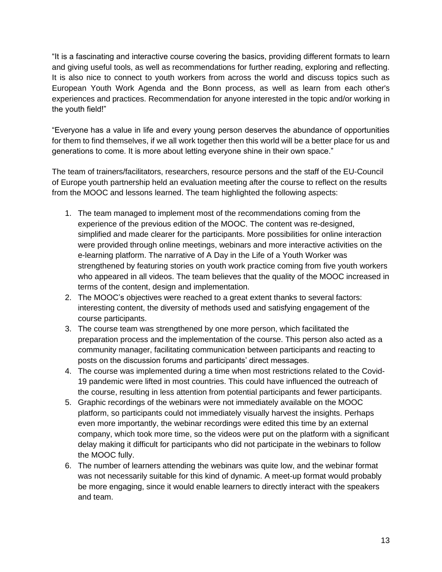"It is a fascinating and interactive course covering the basics, providing different formats to learn and giving useful tools, as well as recommendations for further reading, exploring and reflecting. It is also nice to connect to youth workers from across the world and discuss topics such as European Youth Work Agenda and the Bonn process, as well as learn from each other's experiences and practices. Recommendation for anyone interested in the topic and/or working in the youth field!"

"Everyone has a value in life and every young person deserves the abundance of opportunities for them to find themselves, if we all work together then this world will be a better place for us and generations to come. It is more about letting everyone shine in their own space."

The team of trainers/facilitators, researchers, resource persons and the staff of the EU-Council of Europe youth partnership held an evaluation meeting after the course to reflect on the results from the MOOC and lessons learned. The team highlighted the following aspects:

- 1. The team managed to implement most of the recommendations coming from the experience of the previous edition of the MOOC. The content was re-designed, simplified and made clearer for the participants. More possibilities for online interaction were provided through online meetings, webinars and more interactive activities on the e-learning platform. The narrative of A Day in the Life of a Youth Worker was strengthened by featuring stories on youth work practice coming from five youth workers who appeared in all videos. The team believes that the quality of the MOOC increased in terms of the content, design and implementation.
- 2. The MOOC's objectives were reached to a great extent thanks to several factors: interesting content, the diversity of methods used and satisfying engagement of the course participants.
- 3. The course team was strengthened by one more person, which facilitated the preparation process and the implementation of the course. This person also acted as a community manager, facilitating communication between participants and reacting to posts on the discussion forums and participants' direct messages.
- 4. The course was implemented during a time when most restrictions related to the Covid-19 pandemic were lifted in most countries. This could have influenced the outreach of the course, resulting in less attention from potential participants and fewer participants.
- 5. Graphic recordings of the webinars were not immediately available on the MOOC platform, so participants could not immediately visually harvest the insights. Perhaps even more importantly, the webinar recordings were edited this time by an external company, which took more time, so the videos were put on the platform with a significant delay making it difficult for participants who did not participate in the webinars to follow the MOOC fully.
- 6. The number of learners attending the webinars was quite low, and the webinar format was not necessarily suitable for this kind of dynamic. A meet-up format would probably be more engaging, since it would enable learners to directly interact with the speakers and team.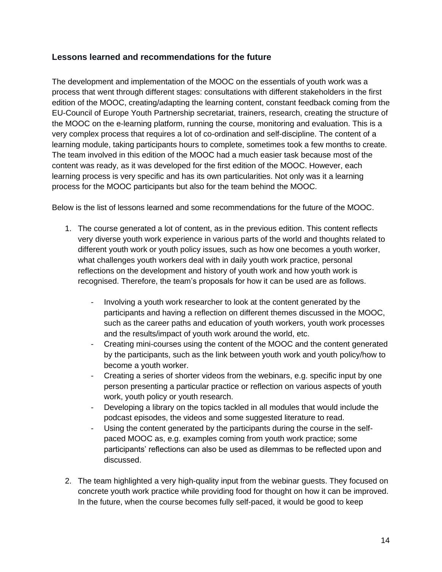#### <span id="page-14-0"></span>**Lessons learned and recommendations for the future**

The development and implementation of the MOOC on the essentials of youth work was a process that went through different stages: consultations with different stakeholders in the first edition of the MOOC, creating/adapting the learning content, constant feedback coming from the EU-Council of Europe Youth Partnership secretariat, trainers, research, creating the structure of the MOOC on the e-learning platform, running the course, monitoring and evaluation. This is a very complex process that requires a lot of co-ordination and self-discipline. The content of a learning module, taking participants hours to complete, sometimes took a few months to create. The team involved in this edition of the MOOC had a much easier task because most of the content was ready, as it was developed for the first edition of the MOOC. However, each learning process is very specific and has its own particularities. Not only was it a learning process for the MOOC participants but also for the team behind the MOOC.

Below is the list of lessons learned and some recommendations for the future of the MOOC.

- 1. The course generated a lot of content, as in the previous edition. This content reflects very diverse youth work experience in various parts of the world and thoughts related to different youth work or youth policy issues, such as how one becomes a youth worker, what challenges youth workers deal with in daily youth work practice, personal reflections on the development and history of youth work and how youth work is recognised. Therefore, the team's proposals for how it can be used are as follows.
	- Involving a youth work researcher to look at the content generated by the participants and having a reflection on different themes discussed in the MOOC, such as the career paths and education of youth workers, youth work processes and the results/impact of youth work around the world, etc.
	- Creating mini-courses using the content of the MOOC and the content generated by the participants, such as the link between youth work and youth policy/how to become a youth worker.
	- Creating a series of shorter videos from the webinars, e.g. specific input by one person presenting a particular practice or reflection on various aspects of youth work, youth policy or youth research.
	- Developing a library on the topics tackled in all modules that would include the podcast episodes, the videos and some suggested literature to read.
	- Using the content generated by the participants during the course in the selfpaced MOOC as, e.g. examples coming from youth work practice; some participants' reflections can also be used as dilemmas to be reflected upon and discussed.
- 2. The team highlighted a very high-quality input from the webinar guests. They focused on concrete youth work practice while providing food for thought on how it can be improved. In the future, when the course becomes fully self-paced, it would be good to keep